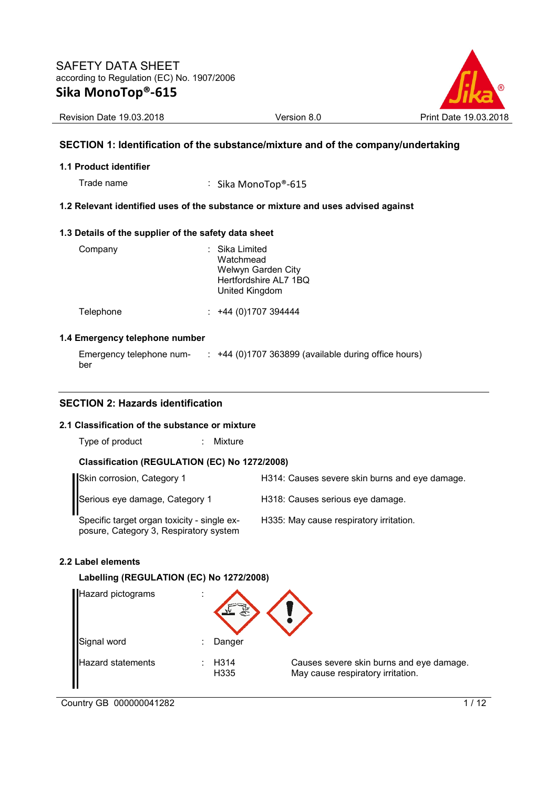

Revision Date 19.03.2018 Version 8.0 Print Date 19.03.2018

# **SECTION 1: Identification of the substance/mixture and of the company/undertaking**

## **1.1 Product identifier**

Trade name : Sika MonoTop®-615

# **1.2 Relevant identified uses of the substance or mixture and uses advised against**

## **1.3 Details of the supplier of the safety data sheet**

| Company   | : Sika Limited<br>Watchmead<br>Welwyn Garden City<br>Hertfordshire AL7 1BQ<br>United Kingdom |
|-----------|----------------------------------------------------------------------------------------------|
| Telephone | $: +44(0)1707394444$                                                                         |

#### **1.4 Emergency telephone number**

| Emergency telephone num- | +44 (0)1707 363899 (available during office hours) |
|--------------------------|----------------------------------------------------|
| ber                      |                                                    |

# **SECTION 2: Hazards identification**

## **2.1 Classification of the substance or mixture**

Type of product : Mixture

# **Classification (REGULATION (EC) No 1272/2008)**

| Skin corrosion, Category 1                                                            | H314: Causes severe skin burns and eye damage. |
|---------------------------------------------------------------------------------------|------------------------------------------------|
| Serious eye damage, Category 1                                                        | H318: Causes serious eye damage.               |
| Specific target organ toxicity - single ex-<br>posure, Category 3, Respiratory system | H335: May cause respiratory irritation.        |

#### **2.2 Label elements**

## **Labelling (REGULATION (EC) No 1272/2008)**

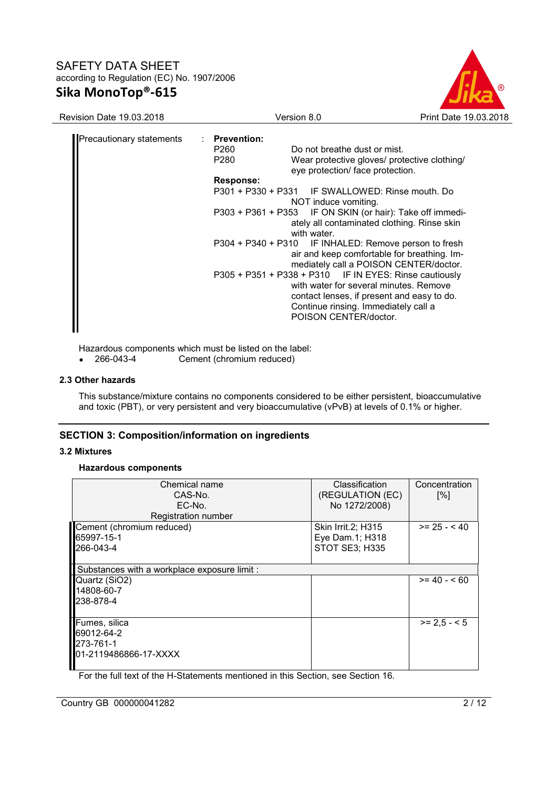

| <b>Revision Date 19.03.2018</b> | Version 8.0                                                                                                                                                                                                                                                                                                                                                                                                                                                       | Print Date 19.03.2018                                                                                                                                                                                                                                                        |
|---------------------------------|-------------------------------------------------------------------------------------------------------------------------------------------------------------------------------------------------------------------------------------------------------------------------------------------------------------------------------------------------------------------------------------------------------------------------------------------------------------------|------------------------------------------------------------------------------------------------------------------------------------------------------------------------------------------------------------------------------------------------------------------------------|
| <b>Precautionary statements</b> | : Prevention:<br>Do not breathe dust or mist.<br>P260<br>P280<br>eye protection/ face protection.<br><b>Response:</b><br>P301 + P330 + P331 IF SWALLOWED: Rinse mouth. Do<br>NOT induce vomiting.<br>P303 + P361 + P353 IF ON SKIN (or hair): Take off immedi-<br>with water.<br>P304 + P340 + P310 IF INHALED: Remove person to fresh<br>P305 + P351 + P338 + P310 IF IN EYES: Rinse cautiously<br>Continue rinsing. Immediately call a<br>POISON CENTER/doctor. | Wear protective gloves/ protective clothing/<br>ately all contaminated clothing. Rinse skin<br>air and keep comfortable for breathing. Im-<br>mediately call a POISON CENTER/doctor.<br>with water for several minutes. Remove<br>contact lenses, if present and easy to do. |

Hazardous components which must be listed on the label:<br>• 266-043-4 Cement (chromium reduced)

• 266-043-4 Cement (chromium reduced)

# **2.3 Other hazards**

This substance/mixture contains no components considered to be either persistent, bioaccumulative and toxic (PBT), or very persistent and very bioaccumulative (vPvB) at levels of 0.1% or higher.

# **SECTION 3: Composition/information on ingredients**

#### **3.2 Mixtures**

**Hazardous components** 

| Chemical name<br>CAS-No.<br>EC-No.<br>Registration number         | <b>Classification</b><br>(REGULATION (EC)<br>No 1272/2008) | Concentration<br>[%] |
|-------------------------------------------------------------------|------------------------------------------------------------|----------------------|
| Cement (chromium reduced)<br>65997-15-1<br>266-043-4              | Skin Irrit. 2; H315<br>Eye Dam.1; H318<br>STOT SE3; H335   | $>= 25 - 40$         |
| Substances with a workplace exposure limit :                      |                                                            |                      |
| Quartz (SiO2)<br>14808-60-7<br>238-878-4                          |                                                            | $>= 40 - 60$         |
| Fumes, silica<br>69012-64-2<br>273-761-1<br>01-2119486866-17-XXXX |                                                            | $>= 2.5 - 5$         |

For the full text of the H-Statements mentioned in this Section, see Section 16.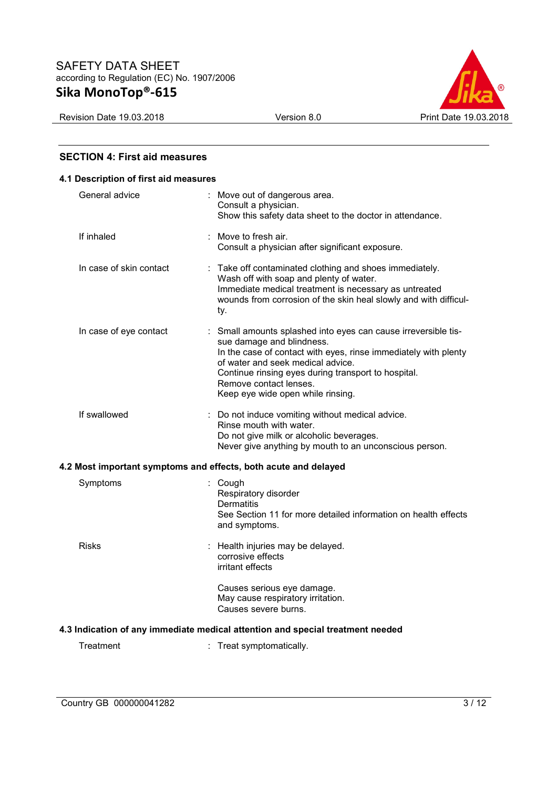

# **SECTION 4: First aid measures**

| 4.1 Description of first aid measures |                         |  |                                                                                                                                                                                                                                                                                                                           |  |  |
|---------------------------------------|-------------------------|--|---------------------------------------------------------------------------------------------------------------------------------------------------------------------------------------------------------------------------------------------------------------------------------------------------------------------------|--|--|
|                                       | General advice          |  | : Move out of dangerous area.<br>Consult a physician.<br>Show this safety data sheet to the doctor in attendance.                                                                                                                                                                                                         |  |  |
|                                       | If inhaled              |  | $:$ Move to fresh air.<br>Consult a physician after significant exposure.                                                                                                                                                                                                                                                 |  |  |
|                                       | In case of skin contact |  | : Take off contaminated clothing and shoes immediately.<br>Wash off with soap and plenty of water.<br>Immediate medical treatment is necessary as untreated<br>wounds from corrosion of the skin heal slowly and with difficul-<br>ty.                                                                                    |  |  |
|                                       | In case of eye contact  |  | : Small amounts splashed into eyes can cause irreversible tis-<br>sue damage and blindness.<br>In the case of contact with eyes, rinse immediately with plenty<br>of water and seek medical advice.<br>Continue rinsing eyes during transport to hospital.<br>Remove contact lenses.<br>Keep eye wide open while rinsing. |  |  |
|                                       | If swallowed            |  | : Do not induce vomiting without medical advice.<br>Rinse mouth with water.<br>Do not give milk or alcoholic beverages.<br>Never give anything by mouth to an unconscious person.                                                                                                                                         |  |  |
|                                       |                         |  | 4.2 Most important symptoms and effects, both acute and delayed                                                                                                                                                                                                                                                           |  |  |
|                                       | Symptoms                |  | : Cough<br>Respiratory disorder<br><b>Dermatitis</b><br>See Section 11 for more detailed information on health effects<br>and symptoms.                                                                                                                                                                                   |  |  |
|                                       | <b>Risks</b>            |  | Health injuries may be delayed.<br>corrosive effects<br>irritant effects<br>Causes serious eye damage.<br>May cause respiratory irritation.                                                                                                                                                                               |  |  |
|                                       | Causes severe burns.    |  |                                                                                                                                                                                                                                                                                                                           |  |  |
|                                       |                         |  | 4.3 Indication of any immediate medical attention and special treatment needed                                                                                                                                                                                                                                            |  |  |
|                                       | Treatment               |  | : Treat symptomatically.                                                                                                                                                                                                                                                                                                  |  |  |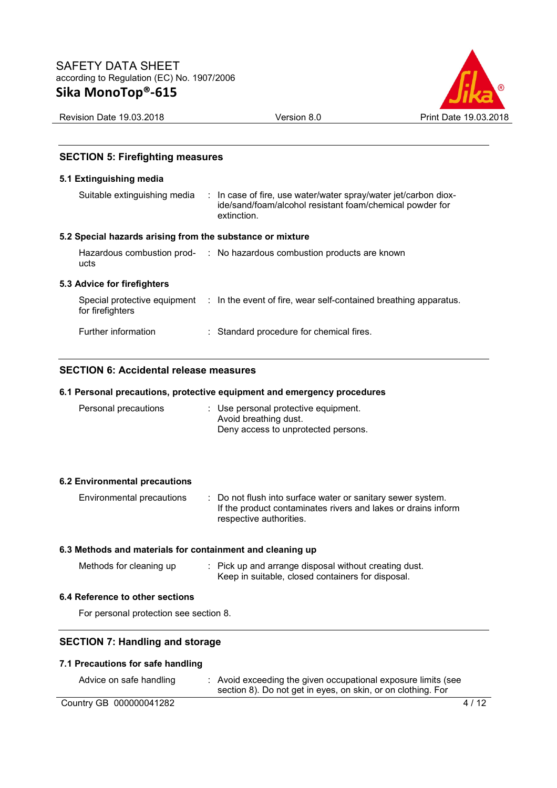

Revision Date 19.03.2018 Version 8.0 Print Date 19.03.2018

# **SECTION 5: Firefighting measures**

# **5.1 Extinguishing media**

| Suitable extinguishing media                              | : In case of fire, use water/water spray/water jet/carbon diox-<br>ide/sand/foam/alcohol resistant foam/chemical powder for<br>extinction. |
|-----------------------------------------------------------|--------------------------------------------------------------------------------------------------------------------------------------------|
| 5.2 Special hazards arising from the substance or mixture |                                                                                                                                            |
| ucts                                                      | Hazardous combustion prod- : No hazardous combustion products are known                                                                    |
| 5.3 Advice for firefighters                               |                                                                                                                                            |
| for firefighters                                          | Special protective equipment : In the event of fire, wear self-contained breathing apparatus.                                              |
| Further information                                       | : Standard procedure for chemical fires.                                                                                                   |

# **SECTION 6: Accidental release measures**

## **6.1 Personal precautions, protective equipment and emergency procedures**

| Personal precautions | : Use personal protective equipment.<br>Avoid breathing dust. |
|----------------------|---------------------------------------------------------------|
|                      | Deny access to unprotected persons.                           |

# **6.2 Environmental precautions**

| Environmental precautions | : Do not flush into surface water or sanitary sewer system.   |
|---------------------------|---------------------------------------------------------------|
|                           | If the product contaminates rivers and lakes or drains inform |
|                           | respective authorities.                                       |

# **6.3 Methods and materials for containment and cleaning up**

| Methods for cleaning up | : Pick up and arrange disposal without creating dust. |
|-------------------------|-------------------------------------------------------|
|                         | Keep in suitable, closed containers for disposal.     |

#### **6.4 Reference to other sections**

For personal protection see section 8.

# **SECTION 7: Handling and storage**

# **7.1 Precautions for safe handling**

| Advice on safe handling | Avoid exceeding the given occupational exposure limits (see<br>section 8). Do not get in eyes, on skin, or on clothing. For |
|-------------------------|-----------------------------------------------------------------------------------------------------------------------------|
| Country GB 000000041282 | 4/12                                                                                                                        |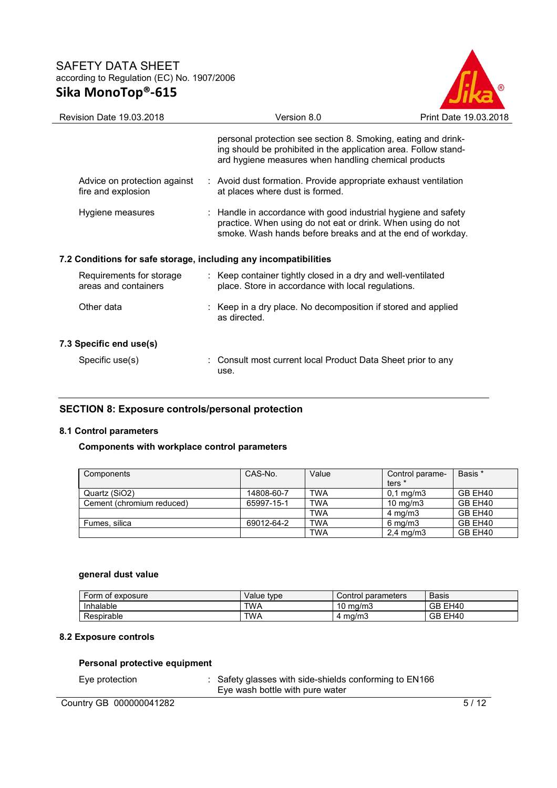

| Revision Date 19.03.2018                                         |  | Version 8.0                                                                                                                                                                                 | Print Date 19.03.2018 |  |
|------------------------------------------------------------------|--|---------------------------------------------------------------------------------------------------------------------------------------------------------------------------------------------|-----------------------|--|
|                                                                  |  | personal protection see section 8. Smoking, eating and drink-<br>ing should be prohibited in the application area. Follow stand-<br>ard hygiene measures when handling chemical products    |                       |  |
| Advice on protection against<br>fire and explosion               |  | : Avoid dust formation. Provide appropriate exhaust ventilation<br>at places where dust is formed.                                                                                          |                       |  |
| Hygiene measures                                                 |  | : Handle in accordance with good industrial hygiene and safety<br>practice. When using do not eat or drink. When using do not<br>smoke. Wash hands before breaks and at the end of workday. |                       |  |
| 7.2 Conditions for safe storage, including any incompatibilities |  |                                                                                                                                                                                             |                       |  |
| Requirements for storage<br>areas and containers                 |  | : Keep container tightly closed in a dry and well-ventilated<br>place. Store in accordance with local regulations.                                                                          |                       |  |
| Other data                                                       |  | : Keep in a dry place. No decomposition if stored and applied<br>as directed.                                                                                                               |                       |  |
| 7.3 Specific end use(s)                                          |  |                                                                                                                                                                                             |                       |  |
| Specific use(s)                                                  |  | : Consult most current local Product Data Sheet prior to any<br>use.                                                                                                                        |                       |  |

# **SECTION 8: Exposure controls/personal protection**

# **8.1 Control parameters**

# **Components with workplace control parameters**

| Components                | CAS-No.    | Value      | Control parame-<br>ters * | Basis * |
|---------------------------|------------|------------|---------------------------|---------|
| Quartz (SiO2)             | 14808-60-7 | <b>TWA</b> | $0.1 \text{ mg/m}$ 3      | GB EH40 |
| Cement (chromium reduced) | 65997-15-1 | <b>TWA</b> | $10 \text{ mg/m}$         | GB EH40 |
|                           |            | <b>TWA</b> | $4 \text{ mg/m}$          | GB EH40 |
| Fumes, silica             | 69012-64-2 | <b>TWA</b> | $6 \text{ mg/m}$          | GB EH40 |
|                           |            | <b>TWA</b> | $2,4$ mg/m $3$            | GB EH40 |

## **general dust value**

| Form of exposure | type<br>Value | parameters<br>Control∴ | Basis                                       |
|------------------|---------------|------------------------|---------------------------------------------|
| Inhalable        | <b>TWA</b>    | 10<br>ma/m3            | $\overline{\phantom{a}}$<br>GB.<br>H40<br>- |
| Respirable       | <b>TWA</b>    | ∙ ma/m3                | GB EI<br>H40                                |

# **8.2 Exposure controls**

# **Personal protective equipment**

|  | Eye protection |
|--|----------------|
|--|----------------|

: Safety glasses with side-shields conforming to EN166 Eye wash bottle with pure water

Country GB 000000041282 5/12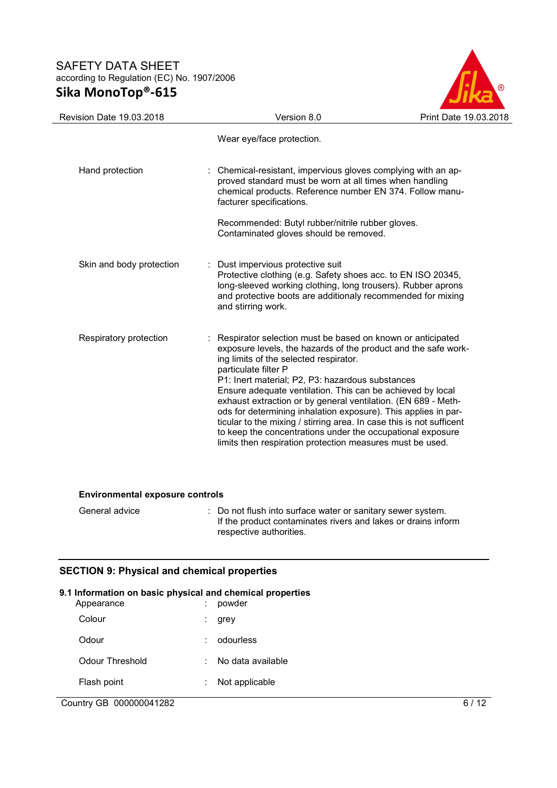

| <b>Revision Date 19.03.2018</b> | Version 8.0                                                                                                                                                                                                                                                                                                                                                                                                                                | Print Date 19.03.2018                                                                                                                                                                                    |
|---------------------------------|--------------------------------------------------------------------------------------------------------------------------------------------------------------------------------------------------------------------------------------------------------------------------------------------------------------------------------------------------------------------------------------------------------------------------------------------|----------------------------------------------------------------------------------------------------------------------------------------------------------------------------------------------------------|
|                                 | Wear eye/face protection.                                                                                                                                                                                                                                                                                                                                                                                                                  |                                                                                                                                                                                                          |
| Hand protection                 | : Chemical-resistant, impervious gloves complying with an ap-<br>proved standard must be worn at all times when handling<br>facturer specifications.<br>Recommended: Butyl rubber/nitrile rubber gloves.<br>Contaminated gloves should be removed.                                                                                                                                                                                         | chemical products. Reference number EN 374. Follow manu-                                                                                                                                                 |
| Skin and body protection        | : Dust impervious protective suit<br>Protective clothing (e.g. Safety shoes acc. to EN ISO 20345,<br>and stirring work.                                                                                                                                                                                                                                                                                                                    | long-sleeved working clothing, long trousers). Rubber aprons<br>and protective boots are additionaly recommended for mixing                                                                              |
| Respiratory protection          | Respirator selection must be based on known or anticipated<br>ing limits of the selected respirator.<br>particulate filter P<br>P1: Inert material; P2, P3: hazardous substances<br>Ensure adequate ventilation. This can be achieved by local<br>exhaust extraction or by general ventilation. (EN 689 - Meth-<br>to keep the concentrations under the occupational exposure<br>limits then respiration protection measures must be used. | exposure levels, the hazards of the product and the safe work-<br>ods for determining inhalation exposure). This applies in par-<br>ticular to the mixing / stirring area. In case this is not sufficent |

# **Environmental exposure controls**

| General advice | : Do not flush into surface water or sanitary sewer system.   |
|----------------|---------------------------------------------------------------|
|                | If the product contaminates rivers and lakes or drains inform |
|                | respective authorities.                                       |

# **SECTION 9: Physical and chemical properties**

| 9.1 Information on basic physical and chemical properties<br>Appearance | powder            |
|-------------------------------------------------------------------------|-------------------|
| Colour                                                                  | grey              |
| Odour                                                                   | odourless         |
| Odour Threshold                                                         | No data available |
| Flash point                                                             | Not applicable    |
|                                                                         |                   |

# Country GB 000000041282 6 / 12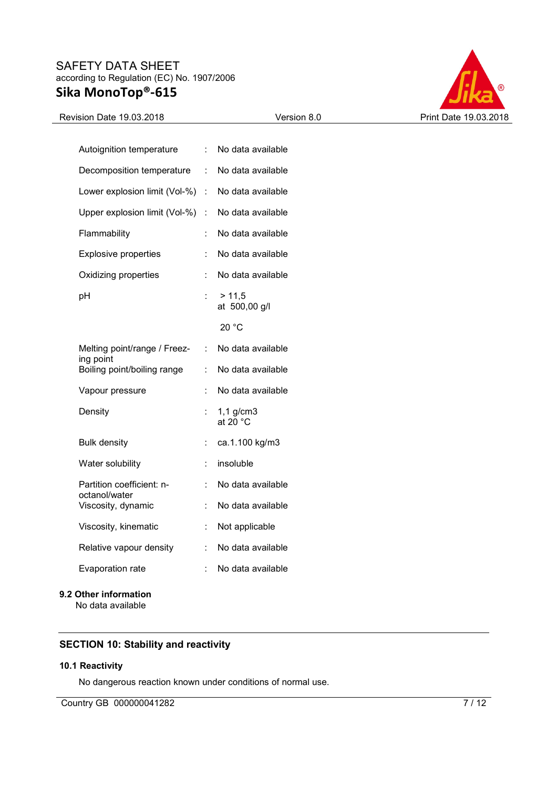

# Revision Date 19.03.2018 Version 8.0 Print Date 19.03.2018

| Autoignition temperature                   | t.             | No data available                    |
|--------------------------------------------|----------------|--------------------------------------|
| Decomposition temperature                  | t.             | No data available                    |
| Lower explosion limit (Vol-%)              | $\mathbb{R}^n$ | No data available                    |
| Upper explosion limit (Vol-%)              | t.             | No data available                    |
| Flammability                               |                | No data available                    |
| <b>Explosive properties</b>                | t              | No data available                    |
| Oxidizing properties                       | t              | No data available                    |
| pH                                         |                | > 11,5<br>at 500,00 g/l              |
|                                            |                | 20 °C                                |
| Melting point/range / Freez-<br>ing point  | t.             | No data available                    |
| Boiling point/boiling range                | t.             | No data available                    |
| Vapour pressure                            | t              | No data available                    |
| Density                                    |                | $1,1$ g/cm $3$<br>at 20 $^{\circ}$ C |
| <b>Bulk density</b>                        | ÷              | ca.1.100 kg/m3                       |
| Water solubility                           | t.             | insoluble                            |
| Partition coefficient: n-<br>octanol/water | t.             | No data available                    |
| Viscosity, dynamic                         | t              | No data available                    |
| Viscosity, kinematic                       | t.             | Not applicable                       |
| Relative vapour density                    | t.             | No data available                    |
| Evaporation rate                           | t              | No data available                    |
| 9.2 Other information<br>No data available |                |                                      |

# **SECTION 10: Stability and reactivity**

## **10.1 Reactivity**

No dangerous reaction known under conditions of normal use.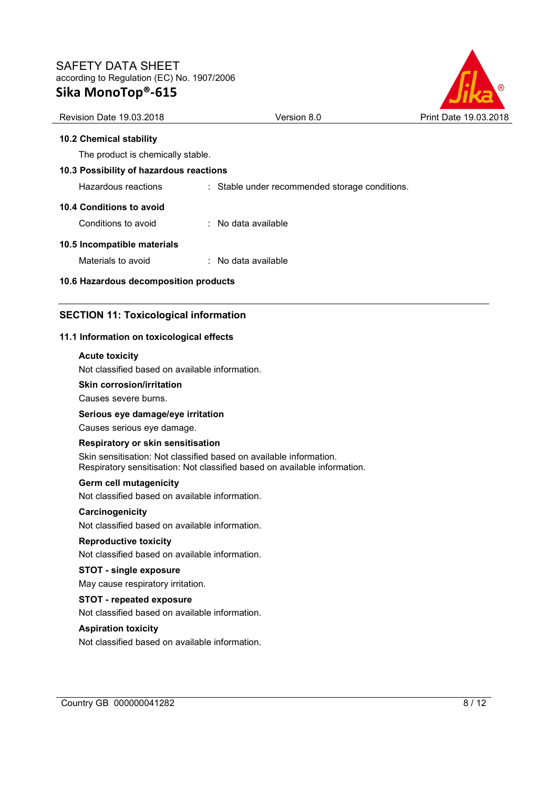

## **10.2 Chemical stability**

The product is chemically stable.

# **10.3 Possibility of hazardous reactions**

Hazardous reactions : Stable under recommended storage conditions.

#### **10.4 Conditions to avoid**

Conditions to avoid : No data available

#### **10.5 Incompatible materials**

Materials to avoid : No data available

### **10.6 Hazardous decomposition products**

# **SECTION 11: Toxicological information**

#### **11.1 Information on toxicological effects**

#### **Acute toxicity**

Not classified based on available information.

## **Skin corrosion/irritation**

Causes severe burns.

# **Serious eye damage/eye irritation**

Causes serious eye damage.

#### **Respiratory or skin sensitisation**

Skin sensitisation: Not classified based on available information. Respiratory sensitisation: Not classified based on available information.

#### **Germ cell mutagenicity**

Not classified based on available information.

#### **Carcinogenicity**

Not classified based on available information.

#### **Reproductive toxicity**

Not classified based on available information.

## **STOT - single exposure**

May cause respiratory irritation.

# **STOT - repeated exposure**

Not classified based on available information.

#### **Aspiration toxicity**

Not classified based on available information.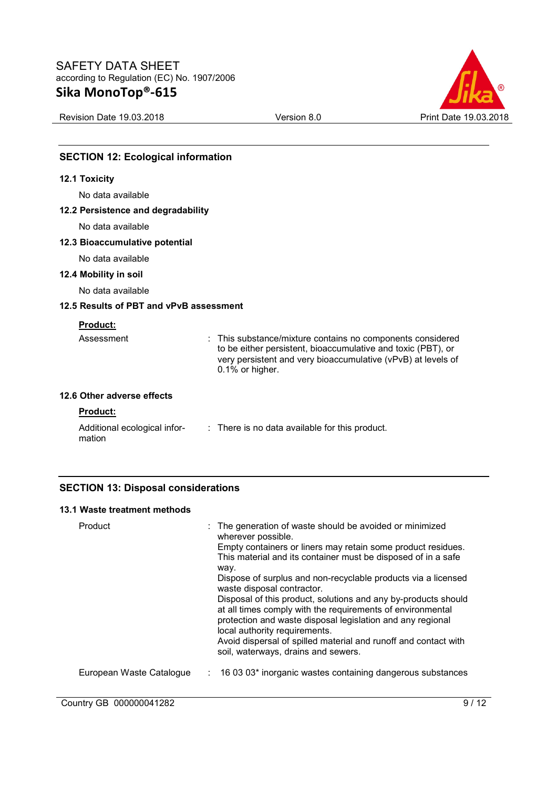

Revision Date 19.03.2018 Version 8.0 Print Date 19.03.2018

# **SECTION 12: Ecological information**

#### **12.1 Toxicity**

No data available

# **12.2 Persistence and degradability**

No data available

# **12.3 Bioaccumulative potential**

No data available

## **12.4 Mobility in soil**

No data available

# **12.5 Results of PBT and vPvB assessment**

# **Product:**

| Assessment | : This substance/mixture contains no components considered                                                                   |
|------------|------------------------------------------------------------------------------------------------------------------------------|
|            | to be either persistent, bioaccumulative and toxic (PBT), or<br>very persistent and very bioaccumulative (vPvB) at levels of |
|            | 0.1% or higher.                                                                                                              |

# **12.6 Other adverse effects**

## **Product:**

| Additional ecological infor- | : There is no data available for this product. |
|------------------------------|------------------------------------------------|
| mation                       |                                                |

# **SECTION 13: Disposal considerations**

# **13.1 Waste treatment methods**

| Product                  | : The generation of waste should be avoided or minimized<br>wherever possible.<br>Empty containers or liners may retain some product residues.<br>This material and its container must be disposed of in a safe<br>way.<br>Dispose of surplus and non-recyclable products via a licensed<br>waste disposal contractor.<br>Disposal of this product, solutions and any by-products should<br>at all times comply with the requirements of environmental<br>protection and waste disposal legislation and any regional<br>local authority requirements.<br>Avoid dispersal of spilled material and runoff and contact with<br>soil, waterways, drains and sewers. |
|--------------------------|-----------------------------------------------------------------------------------------------------------------------------------------------------------------------------------------------------------------------------------------------------------------------------------------------------------------------------------------------------------------------------------------------------------------------------------------------------------------------------------------------------------------------------------------------------------------------------------------------------------------------------------------------------------------|
| European Waste Catalogue | $\therefore$ 16 03 03* inorganic wastes containing dangerous substances                                                                                                                                                                                                                                                                                                                                                                                                                                                                                                                                                                                         |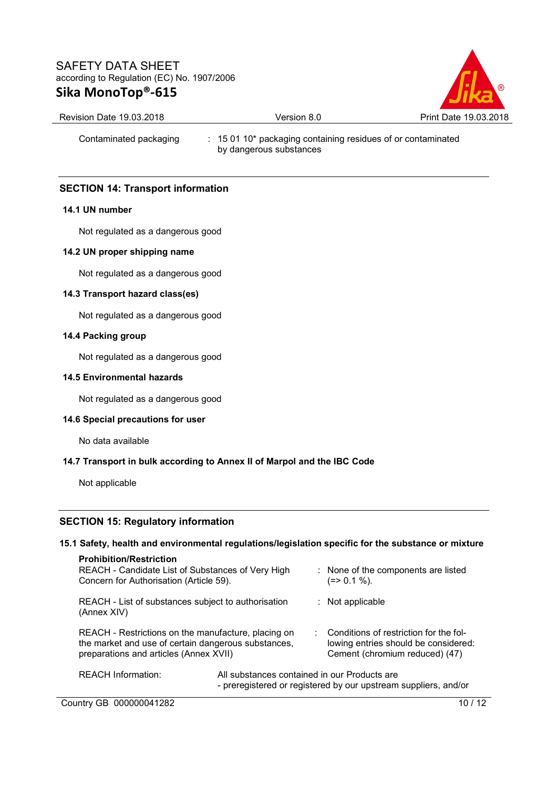

| Revision Date 19 03 2018. |  |  |  |
|---------------------------|--|--|--|
|                           |  |  |  |

# Contaminated packaging : 15 01 10\* packaging containing residues of or contaminated by dangerous substances

# **SECTION 14: Transport information**

## **14.1 UN number**

Not regulated as a dangerous good

## **14.2 UN proper shipping name**

Not regulated as a dangerous good

## **14.3 Transport hazard class(es)**

Not regulated as a dangerous good

## **14.4 Packing group**

Not regulated as a dangerous good

## **14.5 Environmental hazards**

Not regulated as a dangerous good

# **14.6 Special precautions for user**

No data available

# **14.7 Transport in bulk according to Annex II of Marpol and the IBC Code**

Not applicable

# **SECTION 15: Regulatory information**

#### **15.1 Safety, health and environmental regulations/legislation specific for the substance or mixture**

| <b>Prohibition/Restriction</b><br>REACH - Candidate List of Substances of Very High<br>Concern for Authorisation (Article 59).                       |  |  | : None of the components are listed<br>(=> 0.1 %).                                                               |
|------------------------------------------------------------------------------------------------------------------------------------------------------|--|--|------------------------------------------------------------------------------------------------------------------|
| REACH - List of substances subject to authorisation<br>(Annex XIV)                                                                                   |  |  | $:$ Not applicable                                                                                               |
| REACH - Restrictions on the manufacture, placing on<br>the market and use of certain dangerous substances,<br>preparations and articles (Annex XVII) |  |  | Conditions of restriction for the fol-<br>lowing entries should be considered:<br>Cement (chromium reduced) (47) |
| <b>REACH Information:</b><br>All substances contained in our Products are                                                                            |  |  | - preregistered or registered by our upstream suppliers, and/or                                                  |

Country GB 000000041282 10 / 12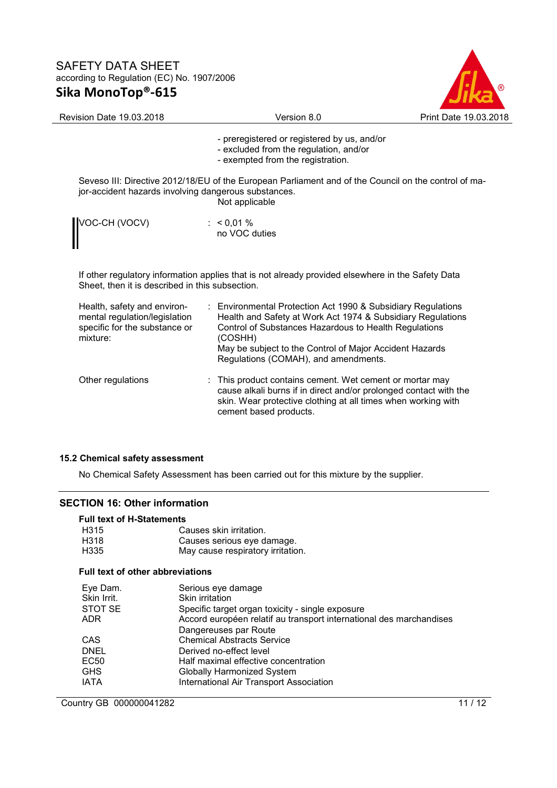

| Revision Date 19.03.2018                                                                                  | Version 8.0                                                                                                                                                                                                                                                                                        | Print Date 19.03.2018 |
|-----------------------------------------------------------------------------------------------------------|----------------------------------------------------------------------------------------------------------------------------------------------------------------------------------------------------------------------------------------------------------------------------------------------------|-----------------------|
|                                                                                                           | - preregistered or registered by us, and/or<br>- excluded from the regulation, and/or<br>- exempted from the registration.                                                                                                                                                                         |                       |
| jor-accident hazards involving dangerous substances.                                                      | Seveso III: Directive 2012/18/EU of the European Parliament and of the Council on the control of ma-<br>Not applicable                                                                                                                                                                             |                       |
| VOC-CH (VOCV)                                                                                             | : $< 0.01 %$<br>no VOC duties                                                                                                                                                                                                                                                                      |                       |
| Sheet, then it is described in this subsection.                                                           | If other regulatory information applies that is not already provided elsewhere in the Safety Data                                                                                                                                                                                                  |                       |
| Health, safety and environ-<br>mental regulation/legislation<br>specific for the substance or<br>mixture: | : Environmental Protection Act 1990 & Subsidiary Regulations<br>Health and Safety at Work Act 1974 & Subsidiary Regulations<br>Control of Substances Hazardous to Health Regulations<br>(COSHH)<br>May be subject to the Control of Major Accident Hazards<br>Regulations (COMAH), and amendments. |                       |
| Other regulations                                                                                         | This product contains cement. Wet cement or mortar may<br>cause alkali burns if in direct and/or prolonged contact with the                                                                                                                                                                        |                       |

skin. Wear protective clothing at all times when working with

# **15.2 Chemical safety assessment**

No Chemical Safety Assessment has been carried out for this mixture by the supplier.

cement based products.

# **SECTION 16: Other information**

# **Full text of H-Statements**

| H315                                    | Causes skin irritation.           |  |  |  |  |  |
|-----------------------------------------|-----------------------------------|--|--|--|--|--|
| H318                                    | Causes serious eye damage.        |  |  |  |  |  |
| H335                                    | May cause respiratory irritation. |  |  |  |  |  |
| <b>Full text of other abbreviations</b> |                                   |  |  |  |  |  |

| Eye Dam.       | Serious eye damage                                                  |
|----------------|---------------------------------------------------------------------|
| Skin Irrit.    | Skin irritation                                                     |
| <b>STOT SE</b> | Specific target organ toxicity - single exposure                    |
| <b>ADR</b>     | Accord européen relatif au transport international des marchandises |
|                | Dangereuses par Route                                               |
| CAS            | <b>Chemical Abstracts Service</b>                                   |
| <b>DNEL</b>    | Derived no-effect level                                             |
| EC50           | Half maximal effective concentration                                |
| <b>GHS</b>     | <b>Globally Harmonized System</b>                                   |
| <b>IATA</b>    | <b>International Air Transport Association</b>                      |
|                |                                                                     |